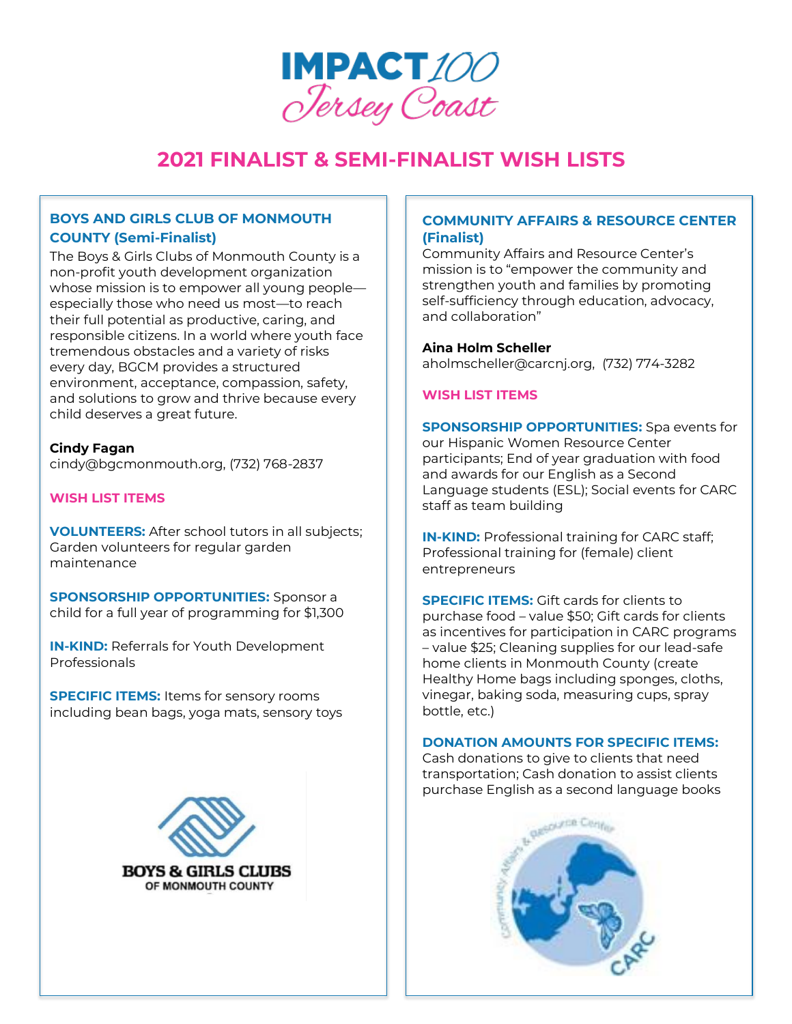

## **BOYS AND GIRLS CLUB OF MONMOUTH COUNTY (Semi-Finalist)**

The Boys & Girls Clubs of Monmouth County is a non-profit youth development organization whose mission is to empower all young people especially those who need us most—to reach their full potential as productive, caring, and responsible citizens. In a world where youth face tremendous obstacles and a variety of risks every day, BGCM provides a structured environment, acceptance, compassion, safety, and solutions to grow and thrive because every child deserves a great future.

#### **Cindy Fagan**

cindy@bgcmonmouth.org, (732) 768-2837

## **WISH LIST ITEMS**

**VOLUNTEERS:** After school tutors in all subjects; Garden volunteers for regular garden maintenance

**SPONSORSHIP OPPORTUNITIES:** Sponsor a child for a full year of programming for \$1,300

**IN-KIND:** Referrals for Youth Development Professionals

**SPECIFIC ITEMS:** Items for sensory rooms including bean bags, yoga mats, sensory toys



## **[COMMUNITY](https://carcnj.org/) AFFAIRS & RESOURCE CENTER (Finalist)**

Community Affairs and Resource Center's mission is to "empower the community and strengthen youth and families by promoting self-sufficiency through education, advocacy, and collaboration"

**Aina Holm Scheller** aholmscheller@carcnj.org, (732) 774-3282

## **WISH LIST ITEMS**

**SPONSORSHIP OPPORTUNITIES:** Spa events for our Hispanic Women Resource Center participants; End of year graduation with food and awards for our English as a Second Language students (ESL); Social events for CARC staff as team building

**IN-KIND:** Professional training for CARC staff; Professional training for (female) client entrepreneurs

**SPECIFIC ITEMS:** Gift cards for clients to purchase food – value \$50; Gift cards for clients as incentives for participation in CARC programs – value \$25; Cleaning supplies for our lead-safe home clients in Monmouth County (create Healthy Home bags including sponges, cloths, vinegar, baking soda, measuring cups, spray bottle, etc.)

## **DONATION AMOUNTS FOR SPECIFIC ITEMS:**

Cash donations to give to clients that need transportation; Cash donation to assist clients purchase English as a second language books

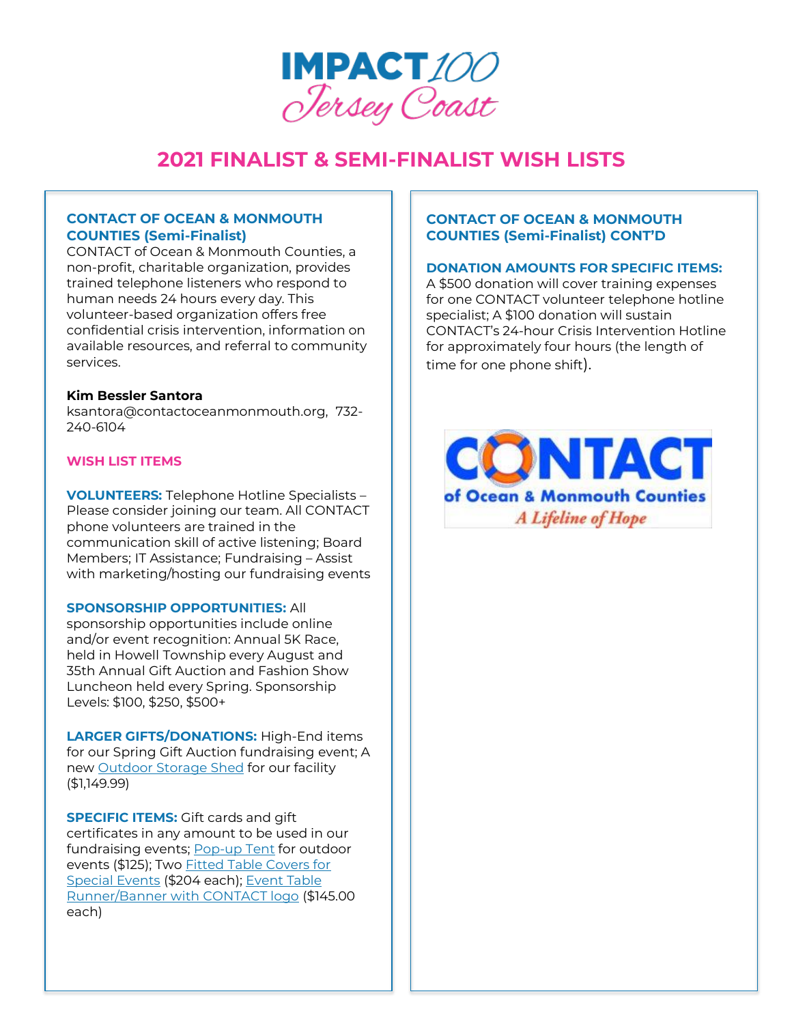

## **CONTACT OF OCEAN & MONMOUTH COUNTIES (Semi-Finalist)**

CONTACT of Ocean & Monmouth Counties, a non-profit, charitable organization, provides trained telephone listeners who respond to human needs 24 hours every day. This volunteer-based organization offers free confidential crisis intervention, information on available resources, and referral to community services.

## **Kim Bessler Santora**

ksantora@contactoceanmonmouth.org, 732- 240-6104

## **WISH LIST ITEMS**

**VOLUNTEERS:** Telephone Hotline Specialists – Please consider joining our team. All CONTACT phone volunteers are trained in the communication skill of active listening; Board Members; IT Assistance; Fundraising – Assist with marketing/hosting our fundraising events

### **SPONSORSHIP OPPORTUNITIES:** All

sponsorship opportunities include online and/or event recognition: Annual 5K Race, held in Howell Township every August and 35th Annual Gift Auction and Fashion Show Luncheon held every Spring. Sponsorship Levels: \$100, \$250, \$500+

**LARGER GIFTS/DONATIONS:** High-End items for our Spring Gift Auction fundraising event; A new [Outdoor Storage Shed](https://www.costco.com/lifetime-8) for our facility (\$1,149.99)

**SPECIFIC ITEMS:** Gift cards and gift certificates in any amount to be used in our fundraising events[; Pop-up Tent](https://www.costco.com/popupshade-10’x10’-instant-canopy-with-poplock-oneperson-%20setup.product.100601646.html) for outdoor events (\$125); Two [Fitted Table Covers for](https://www.positivepromotions.com/trade-show-table-cover-personalizationavailable/%20p/os-5235/)  [Special Events](https://www.positivepromotions.com/trade-show-table-cover-personalizationavailable/%20p/os-5235/) (\$204 each); [Event Table](https://www.positivepromotions.com/28-lazerline-table-runner-full-color-frontonly/%20p/osv3739/)  [Runner/Banner with CONTACT logo](https://www.positivepromotions.com/28-lazerline-table-runner-full-color-frontonly/%20p/osv3739/) (\$145.00 each)

## **CONTACT OF OCEAN & MONMOUTH COUNTIES (Semi-Finalist) CONT'D**

#### **DONATION AMOUNTS FOR SPECIFIC ITEMS:**

A \$500 donation will cover training expenses for one CONTACT volunteer telephone hotline specialist; A \$100 donation will sustain CONTACT's 24-hour Crisis Intervention Hotline for approximately four hours (the length of time for one phone shift).

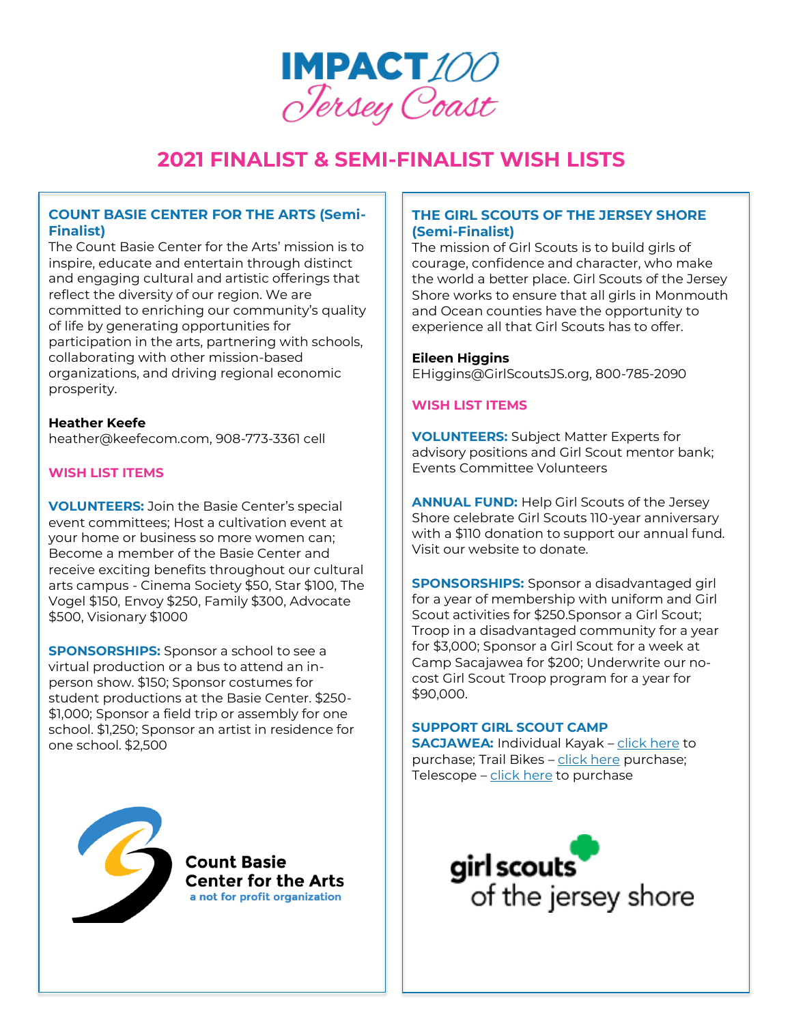

## **COUNT BASIE CENTER FOR THE ARTS (Semi-Finalist)**

The Count Basie Center for the Arts' mission is to inspire, educate and entertain through distinct and engaging cultural and artistic offerings that reflect the diversity of our region. We are committed to enriching our community's quality of life by generating opportunities for participation in the arts, partnering with schools, collaborating with other mission-based organizations, and driving regional economic prosperity.

**Heather Keefe** heather@keefecom.com, 908-773-3361 cell

## **WISH LIST ITEMS**

**VOLUNTEERS:** Join the Basie Center's special event committees; Host a cultivation event at your home or business so more women can; Become a member of the Basie Center and receive exciting benefits throughout our cultural arts campus - Cinema Society \$50, Star \$100, The Vogel \$150, Envoy \$250, Family \$300, Advocate \$500, Visionary \$1000

**SPONSORSHIPS:** Sponsor a school to see a virtual production or a bus to attend an inperson show. \$150; Sponsor costumes for student productions at the Basie Center. \$250- \$1,000; Sponsor a field trip or assembly for one school. \$1,250; Sponsor an artist in residence for one school. \$2,500



**Count Basie Center for the Arts** a not for profit organization

## **THE GIRL SCOUTS OF THE JERSEY SHORE (Semi-Finalist)**

The mission of Girl Scouts is to build girls of courage, confidence and character, who make the world a better place. Girl Scouts of the Jersey Shore works to ensure that all girls in Monmouth and Ocean counties have the opportunity to experience all that Girl Scouts has to offer.

## **Eileen Higgins**

EHiggins@GirlScoutsJS.org, 800-785-2090

## **WISH LIST ITEMS**

**VOLUNTEERS:** Subject Matter Experts for advisory positions and Girl Scout mentor bank; Events Committee Volunteers

**ANNUAL FUND:** Help Girl Scouts of the Jersey Shore celebrate Girl Scouts 110-year anniversary with a \$110 donation to support our annual fund. Visit our website to donate.

**SPONSORSHIPS:** Sponsor a disadvantaged girl for a year of membership with uniform and Girl Scout activities for \$250.Sponsor a Girl Scout; Troop in a disadvantaged community for a year for \$3,000; Sponsor a Girl Scout for a week at Camp Sacajawea for \$200; Underwrite our nocost Girl Scout Troop program for a year for \$90,000.

## **SUPPORT GIRL SCOUT CAMP**

**SACJAWEA:** Individual Kayak – [click here](https://www.amazon.com/gp/product/B004EEM84O/ref=ox_sc_act_title_1?smid=ATVPDKIKX0DER&th=1) to purchase; Trail Bikes – [click here](https://www.amazon.com/dp/B00Z9O8EUA/ref=sspa_dk_detail_1?psc=1&pd_rd_i=B00Z9O8EUA&pd_rd_w=RSy3H&pf_rd_p=887084a2-5c34-4113-a4f8-b7947847c308&pd_rd_wg=P3GKw&pf_rd_r=1HE6RP311Y7CWN9RBMGW&pd_rd_r=147c4855-f494-46f7-b567-aeb93f6eeb85&spLa=ZW5jcnlwdGVkUXVhbGlmaWVyPUFRNU5ZVFkyQTcwSUcmZW5jcnlwdGVkSWQ9QTAwODYwODQyU09NWUxCT0RQWE8zJmVuY3J5cHRlZEFkSWQ9QTAzODUyMTYyODlVU1o3UjlHUVNWJndpZGdldE5hbWU9c3BfZGV0YWlsJmFjdGlvbj1jbGlja1JlZGlyZWN0JmRvTm90TG9nQ2xpY2s9dHJ1ZQ==) purchase; Telescope – [click here](https://www.amazon.com/Celestron-Refractor-Telescope-Beginners-Astronomy/dp/B001TI9Y2M/ref=asc_df_B001TI9Y2M/?tag=hyprod-20&linkCode=df0&hvadid=198056450525&hvpos=&hvnetw=g&hvrand=7772443915639315430&hvpone=&hvptwo=&hvqmt=&hvdev=c&hvdvcmdl=&hvlocint=&hvlocphy=9003662&hvtargid=pla-343899256700&psc=1) to purchase

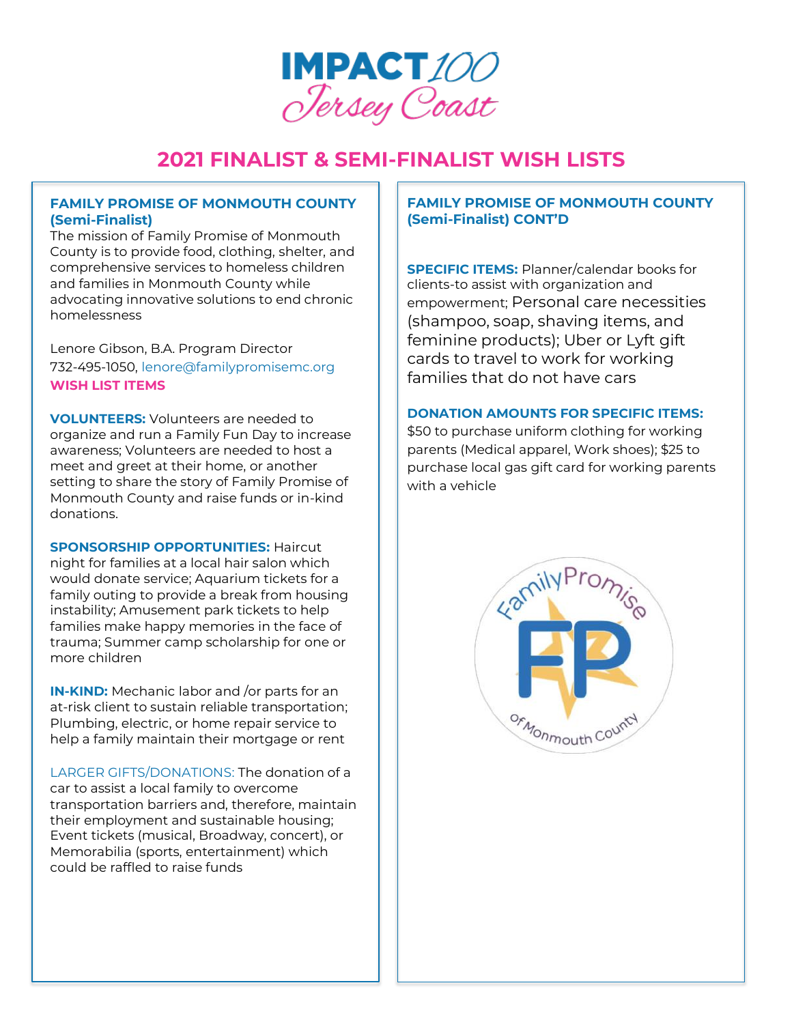

## **FAMILY PROMISE OF MONMOUTH COUNTY (Semi-Finalist)**

The mission of Family Promise of Monmouth County is to provide food, clothing, shelter, and comprehensive services to homeless children and families in Monmouth County while advocating innovative solutions to end chronic homelessness

Lenore Gibson, B.A. Program Director 732-495-1050, [lenore@familypromisemc.org](mailto:lenore@familypromisemc.org) **WISH LIST ITEMS**

**VOLUNTEERS:** Volunteers are needed to organize and run a Family Fun Day to increase awareness; Volunteers are needed to host a meet and greet at their home, or another setting to share the story of Family Promise of Monmouth County and raise funds or in-kind donations.

**SPONSORSHIP OPPORTUNITIES:** Haircut night for families at a local hair salon which would donate service; Aquarium tickets for a family outing to provide a break from housing instability; Amusement park tickets to help families make happy memories in the face of trauma; Summer camp scholarship for one or more children

**IN-KIND:** Mechanic labor and /or parts for an at-risk client to sustain reliable transportation; Plumbing, electric, or home repair service to help a family maintain their mortgage or rent

LARGER GIFTS/DONATIONS: The donation of a car to assist a local family to overcome transportation barriers and, therefore, maintain their employment and sustainable housing; Event tickets (musical, Broadway, concert), or Memorabilia (sports, entertainment) which could be raffled to raise funds

# **FAMILY PROMISE OF MONMOUTH COUNTY (Semi-Finalist) CONT'D**

**SPECIFIC ITEMS:** Planner/calendar books for clients-to assist with organization and empowerment; Personal care necessities (shampoo, soap, shaving items, and feminine products); Uber or Lyft gift cards to travel to work for working families that do not have cars

## **DONATION AMOUNTS FOR SPECIFIC ITEMS:**

\$50 to purchase uniform clothing for working parents (Medical apparel, Work shoes); \$25 to purchase local gas gift card for working parents with a vehicle

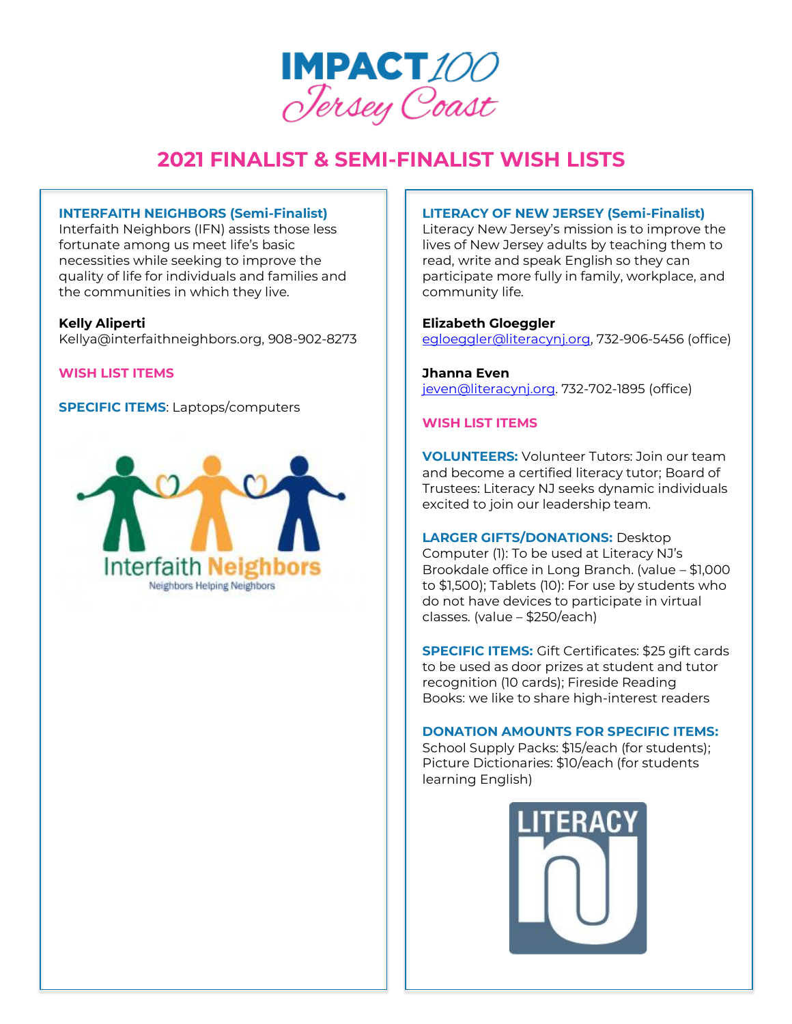

## **INTERFAITH NEIGHBORS (Semi-Finalist)**

Interfaith Neighbors (IFN) assists those less fortunate among us meet life's basic necessities while seeking to improve the quality of life for individuals and families and the communities in which they live.

## **Kelly Aliperti**

Kellya@interfaithneighbors.org, 908-902-8273

**WISH LIST ITEMS**

**SPECIFIC ITEMS**: Laptops/computers



## **LITERACY OF NEW JERSEY (Semi-Finalist)**

Literacy New Jersey's mission is to improve the lives of New Jersey adults by teaching them to read, write and speak English so they can participate more fully in family, workplace, and community life.

**Elizabeth Gloeggler** [egloeggler@literacynj.org,](mailto:egloeggler@literacynj.org) 732-906-5456 (office)

**Jhanna Even** [jeven@literacynj.org.](mailto:jeven@literacynj.org) 732-702-1895 (office)

## **WISH LIST ITEMS**

**VOLUNTEERS:** Volunteer Tutors: Join our team and become a certified literacy tutor; Board of Trustees: Literacy NJ seeks dynamic individuals excited to join our leadership team.

**LARGER GIFTS/DONATIONS:** Desktop Computer (1): To be used at Literacy NJ's Brookdale office in Long Branch. (value – \$1,000 to \$1,500); Tablets (10): For use by students who do not have devices to participate in virtual classes. (value – \$250/each)

**SPECIFIC ITEMS:** Gift Certificates: \$25 gift cards to be used as door prizes at student and tutor recognition (10 cards); Fireside Reading Books: we like to share high-interest readers

#### **DONATION AMOUNTS FOR SPECIFIC ITEMS:**

School Supply Packs: \$15/each (for students); Picture Dictionaries: \$10/each (for students learning English)

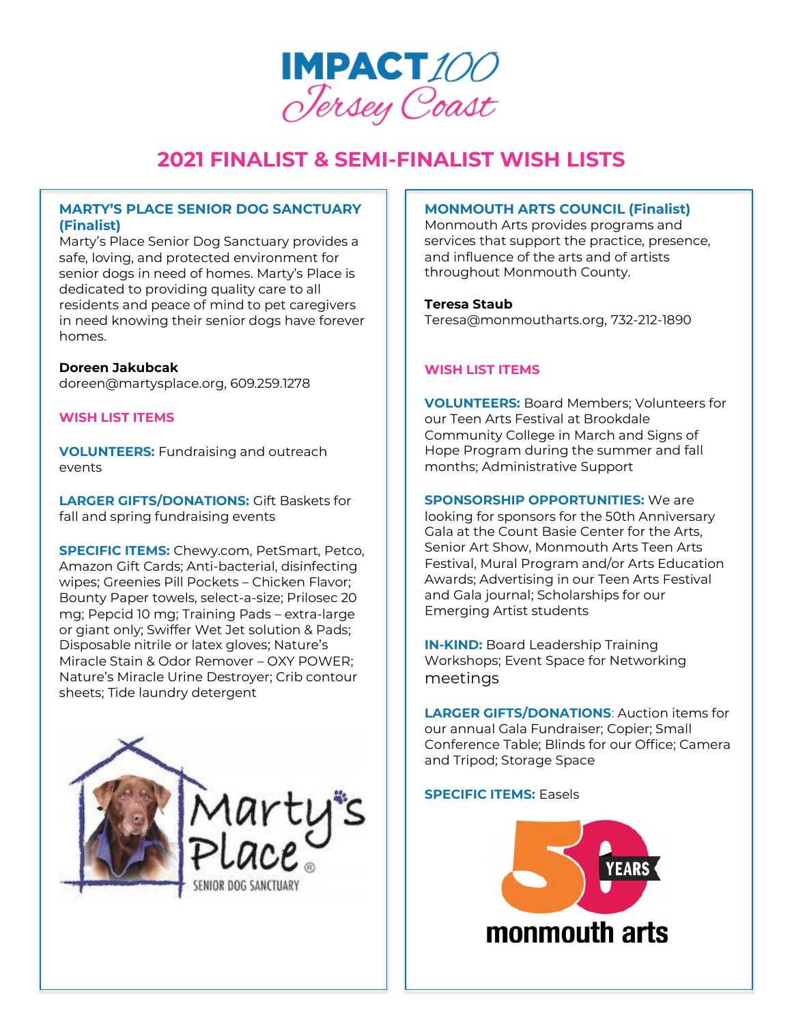

# **MARTY'S PLACE SENIOR DOG SANCTUARY (Finalist)**

Marty's Place Senior Dog Sanctuary provides a safe, loving, and protected environment for senior dogs in need of homes. Marty's Place is dedicated to providing quality care to all residents and peace of mind to pet caregivers in need knowing their senior dogs have forever homes.

#### **Doreen Jakubcak**

doreen@martysplace.org, 609.259.1278

## **WISH LIST ITEMS**

**VOLUNTEERS:** Fundraising and outreach events

**LARGER GIFTS/DONATIONS:** Gift Baskets for fall and spring fundraising events

**SPECIFIC ITEMS:** Chewy.com, PetSmart, Petco, Amazon Gift Cards; Anti-bacterial, disinfecting wipes; Greenies Pill Pockets – Chicken Flavor; Bounty Paper towels, select-a-size; Prilosec 20 mg; Pepcid 10 mg; Training Pads – extra-large or giant only; Swiffer Wet Jet solution & Pads; Disposable nitrile or latex gloves; Nature's Miracle Stain & Odor Remover – OXY POWER; Nature's Miracle Urine Destroyer; Crib contour sheets; Tide laundry detergent



## **MONMOUTH ARTS COUNCIL (Finalist)**

Monmouth Arts provides programs and services that support the practice, presence, and influence of the arts and of artists throughout Monmouth County.

#### **Teresa Staub**

Teresa@monmoutharts.org, 732-212-1890

## **WISH LIST ITEMS**

**VOLUNTEERS:** Board Members; Volunteers for our Teen Arts Festival at Brookdale Community College in March and Signs of Hope Program during the summer and fall months; Administrative Support

**SPONSORSHIP OPPORTUNITIES:** We are looking for sponsors for the 50th Anniversary Gala at the Count Basie Center for the Arts, Senior Art Show, Monmouth Arts Teen Arts Festival, Mural Program and/or Arts Education Awards; Advertising in our Teen Arts Festival and Gala journal; Scholarships for our Emerging Artist students

**IN-KIND:** Board Leadership Training Workshops; Event Space for Networking meetings

**LARGER GIFTS/DONATIONS**: Auction items for our annual Gala Fundraiser; Copier; Small Conference Table; Blinds for our Office; Camera and Tripod; Storage Space

#### **SPECIFIC ITEMS: Easels**

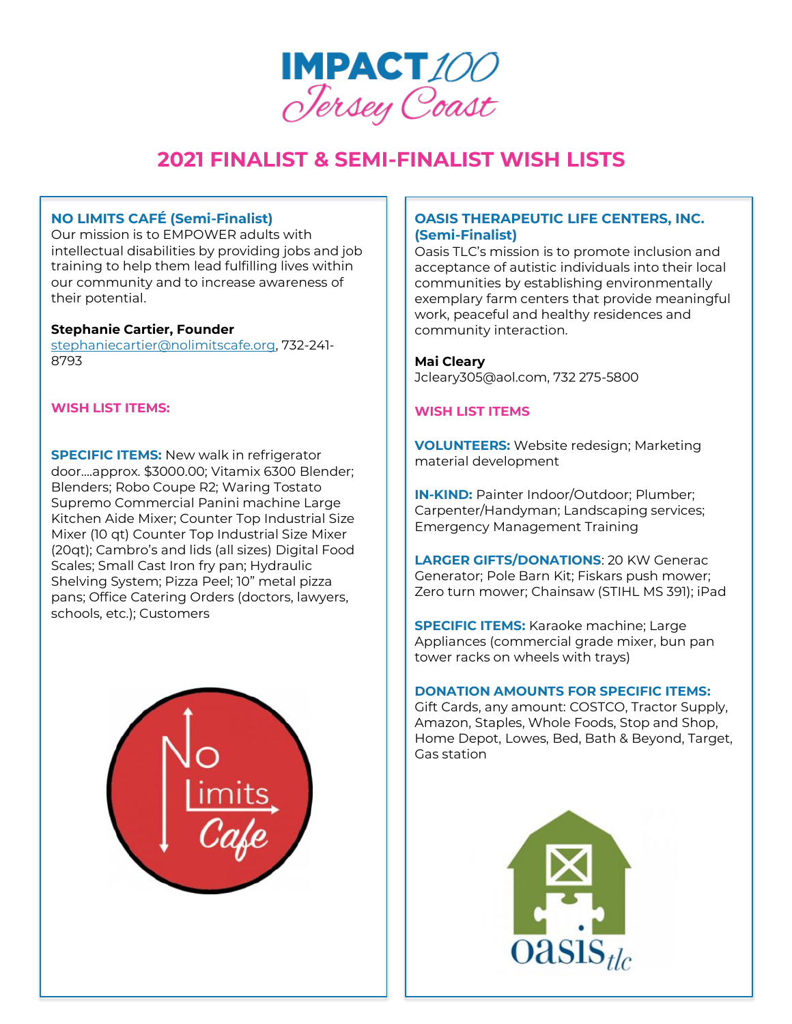

## **NO LIMITS CAFÉ (Semi-Finalist)**

Our mission is to EMPOWER adults with intellectual disabilities by providing jobs and job training to help them lead fulfilling lives within our community and to increase awareness of their potential.

### **Stephanie Cartier, Founder**

[stephaniecartier@nolimitscafe.org,](mailto:stephaniecartier@nolimitscafe.org) 732-241- 8793

## **WISH LIST ITEMS:**

**SPECIFIC ITEMS:** New walk in refrigerator door….approx. \$3000.00; Vitamix 6300 Blender; Blenders; Robo Coupe R2; Waring Tostato Supremo Commercial Panini machine Large Kitchen Aide Mixer; Counter Top Industrial Size Mixer (10 qt) Counter Top Industrial Size Mixer (20qt); Cambro's and lids (all sizes) Digital Food Scales; Small Cast Iron fry pan; Hydraulic Shelving System; Pizza Peel; 10" metal pizza pans; Office Catering Orders (doctors, lawyers, schools, etc.); Customers



## **OASIS THERAPEUTIC LIFE CENTERS, INC. (Semi-Finalist)**

Oasis TLC's mission is to promote inclusion and acceptance of autistic individuals into their local communities by establishing environmentally exemplary farm centers that provide meaningful work, peaceful and healthy residences and community interaction.

#### **Mai Cleary**

Jcleary305@aol.com, 732 275-5800

#### **WISH LIST ITEMS**

**VOLUNTEERS:** Website redesign; Marketing material development

**IN-KIND:** Painter Indoor/Outdoor; Plumber; Carpenter/Handyman; Landscaping services; Emergency Management Training

**LARGER GIFTS/DONATIONS**: 20 KW Generac Generator; Pole Barn Kit; Fiskars push mower; Zero turn mower; Chainsaw (STIHL MS 391); iPad

**SPECIFIC ITEMS:** Karaoke machine; Large Appliances (commercial grade mixer, bun pan tower racks on wheels with trays)

#### **DONATION AMOUNTS FOR SPECIFIC ITEMS:**

Gift Cards, any amount: COSTCO, Tractor Supply, Amazon, Staples, Whole Foods, Stop and Shop, Home Depot, Lowes, Bed, Bath & Beyond, Target, Gas station

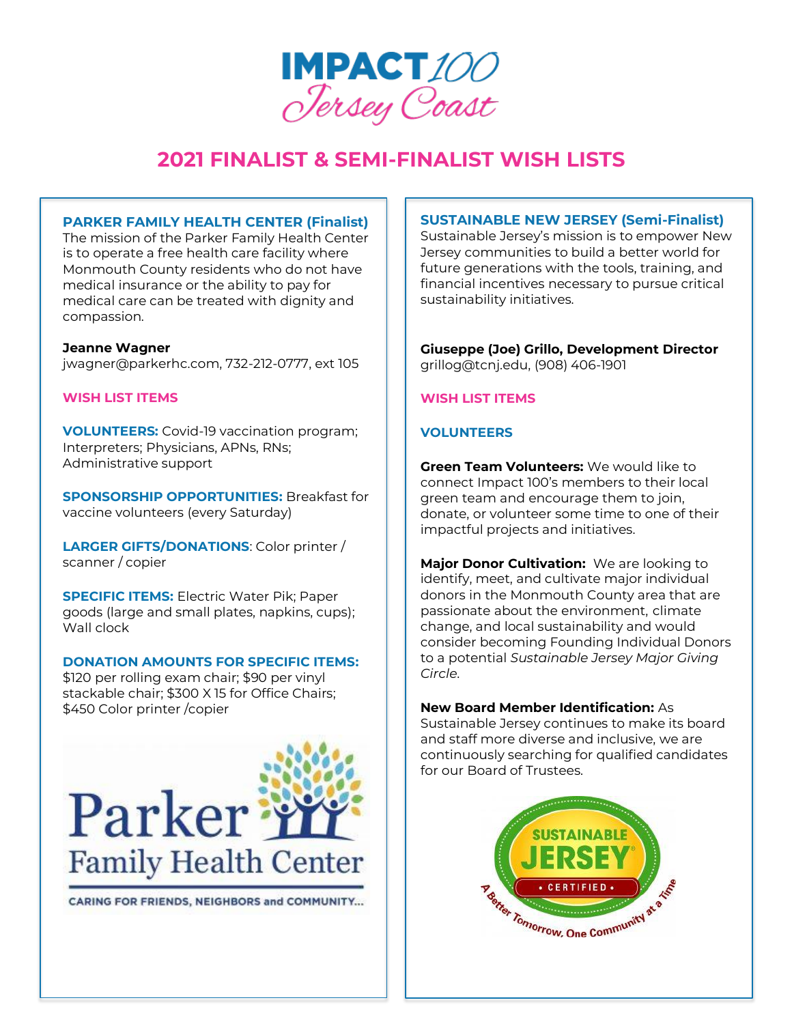

### **PARKER FAMILY HEALTH CENTER (Finalist)**

The mission of the Parker Family Health Center is to operate a free health care facility where Monmouth County residents who do not have medical insurance or the ability to pay for medical care can be treated with dignity and compassion.

#### **Jeanne Wagner**

jwagner@parkerhc.com, 732-212-0777, ext 105

## **WISH LIST ITEMS**

**VOLUNTEERS:** Covid-19 vaccination program; Interpreters; Physicians, APNs, RNs; Administrative support

**SPONSORSHIP OPPORTUNITIES:** Breakfast for vaccine volunteers (every Saturday)

**LARGER GIFTS/DONATIONS**: Color printer / scanner / copier

**SPECIFIC ITEMS:** Electric Water Pik; Paper goods (large and small plates, napkins, cups); Wall clock

## **DONATION AMOUNTS FOR SPECIFIC ITEMS:**

\$120 per rolling exam chair; \$90 per vinyl stackable chair; \$300 X 15 for Office Chairs; \$450 Color printer /copier



CARING FOR FRIENDS, NEIGHBORS and COMMUNITY...

## **SUSTAINABLE NEW JERSEY (Semi-Finalist)**

Sustainable Jersey's mission is to empower New Jersey communities to build a better world for future generations with the tools, training, and financial incentives necessary to pursue critical sustainability initiatives.

## **Giuseppe (Joe) Grillo, Development Director** grillog@tcnj.edu, (908) 406-1901

## **WISH LIST ITEMS**

## **VOLUNTEERS**

**Green Team Volunteers:** We would like to connect Impact 100's members to their local green team and encourage them to join, donate, or volunteer some time to one of their impactful projects and initiatives.

**Major Donor Cultivation:** We are looking to identify, meet, and cultivate major individual donors in the Monmouth County area that are passionate about the environment, climate change, and local sustainability and would consider becoming Founding Individual Donors to a potential *Sustainable Jersey Major Giving Circle*.

#### **New Board Member Identification:** As

Sustainable Jersey continues to make its board and staff more diverse and inclusive, we are continuously searching for qualified candidates for our Board of Trustees.